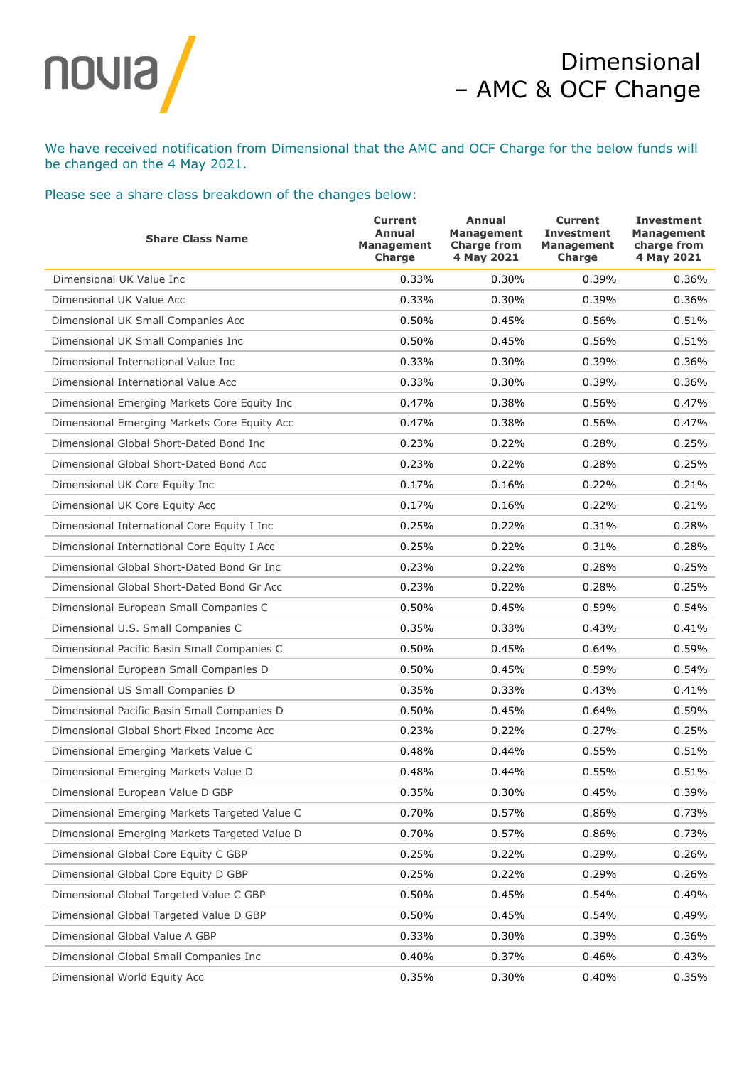

## Dimensional – AMC & OCF Change

We have received notification from Dimensional that the AMC and OCF Charge for the below funds will be changed on the 4 May 2021.

## Please see a share class breakdown of the changes below:

| <b>Share Class Name</b>                       | <b>Current</b><br>Annual<br><b>Management</b><br>Charge | Annual<br><b>Management</b><br><b>Charge from</b><br>4 May 2021 | <b>Current</b><br><b>Investment</b><br><b>Management</b><br>Charge | <b>Investment</b><br><b>Management</b><br>charge from<br>4 May 2021 |
|-----------------------------------------------|---------------------------------------------------------|-----------------------------------------------------------------|--------------------------------------------------------------------|---------------------------------------------------------------------|
| Dimensional UK Value Inc                      | 0.33%                                                   | 0.30%                                                           | 0.39%                                                              | 0.36%                                                               |
| Dimensional UK Value Acc                      | 0.33%                                                   | 0.30%                                                           | 0.39%                                                              | 0.36%                                                               |
| Dimensional UK Small Companies Acc            | 0.50%                                                   | 0.45%                                                           | 0.56%                                                              | 0.51%                                                               |
| Dimensional UK Small Companies Inc            | 0.50%                                                   | 0.45%                                                           | 0.56%                                                              | 0.51%                                                               |
| Dimensional International Value Inc           | 0.33%                                                   | 0.30%                                                           | 0.39%                                                              | 0.36%                                                               |
| Dimensional International Value Acc           | 0.33%                                                   | 0.30%                                                           | 0.39%                                                              | 0.36%                                                               |
| Dimensional Emerging Markets Core Equity Inc  | 0.47%                                                   | 0.38%                                                           | 0.56%                                                              | 0.47%                                                               |
| Dimensional Emerging Markets Core Equity Acc  | 0.47%                                                   | 0.38%                                                           | 0.56%                                                              | 0.47%                                                               |
| Dimensional Global Short-Dated Bond Inc       | 0.23%                                                   | 0.22%                                                           | 0.28%                                                              | 0.25%                                                               |
| Dimensional Global Short-Dated Bond Acc       | 0.23%                                                   | 0.22%                                                           | 0.28%                                                              | 0.25%                                                               |
| Dimensional UK Core Equity Inc                | 0.17%                                                   | 0.16%                                                           | 0.22%                                                              | 0.21%                                                               |
| Dimensional UK Core Equity Acc                | 0.17%                                                   | 0.16%                                                           | 0.22%                                                              | 0.21%                                                               |
| Dimensional International Core Equity I Inc   | 0.25%                                                   | 0.22%                                                           | 0.31%                                                              | 0.28%                                                               |
| Dimensional International Core Equity I Acc   | 0.25%                                                   | 0.22%                                                           | 0.31%                                                              | 0.28%                                                               |
| Dimensional Global Short-Dated Bond Gr Inc    | 0.23%                                                   | 0.22%                                                           | 0.28%                                                              | 0.25%                                                               |
| Dimensional Global Short-Dated Bond Gr Acc    | 0.23%                                                   | 0.22%                                                           | 0.28%                                                              | 0.25%                                                               |
| Dimensional European Small Companies C        | 0.50%                                                   | 0.45%                                                           | 0.59%                                                              | 0.54%                                                               |
| Dimensional U.S. Small Companies C            | 0.35%                                                   | 0.33%                                                           | 0.43%                                                              | 0.41%                                                               |
| Dimensional Pacific Basin Small Companies C   | 0.50%                                                   | 0.45%                                                           | 0.64%                                                              | 0.59%                                                               |
| Dimensional European Small Companies D        | 0.50%                                                   | 0.45%                                                           | 0.59%                                                              | 0.54%                                                               |
| Dimensional US Small Companies D              | 0.35%                                                   | 0.33%                                                           | 0.43%                                                              | 0.41%                                                               |
| Dimensional Pacific Basin Small Companies D   | 0.50%                                                   | 0.45%                                                           | 0.64%                                                              | 0.59%                                                               |
| Dimensional Global Short Fixed Income Acc     | 0.23%                                                   | 0.22%                                                           | 0.27%                                                              | 0.25%                                                               |
| Dimensional Emerging Markets Value C          | 0.48%                                                   | 0.44%                                                           | 0.55%                                                              | 0.51%                                                               |
| Dimensional Emerging Markets Value D          | 0.48%                                                   | 0.44%                                                           | 0.55%                                                              | 0.51%                                                               |
| Dimensional European Value D GBP              | 0.35%                                                   | 0.30%                                                           | 0.45%                                                              | 0.39%                                                               |
| Dimensional Emerging Markets Targeted Value C | 0.70%                                                   | 0.57%                                                           | 0.86%                                                              | 0.73%                                                               |
| Dimensional Emerging Markets Targeted Value D | 0.70%                                                   | 0.57%                                                           | 0.86%                                                              | 0.73%                                                               |
| Dimensional Global Core Equity C GBP          | 0.25%                                                   | 0.22%                                                           | 0.29%                                                              | 0.26%                                                               |
| Dimensional Global Core Equity D GBP          | 0.25%                                                   | 0.22%                                                           | 0.29%                                                              | 0.26%                                                               |
| Dimensional Global Targeted Value C GBP       | 0.50%                                                   | 0.45%                                                           | 0.54%                                                              | 0.49%                                                               |
| Dimensional Global Targeted Value D GBP       | 0.50%                                                   | 0.45%                                                           | 0.54%                                                              | 0.49%                                                               |
| Dimensional Global Value A GBP                | 0.33%                                                   | 0.30%                                                           | 0.39%                                                              | 0.36%                                                               |
| Dimensional Global Small Companies Inc        | 0.40%                                                   | 0.37%                                                           | 0.46%                                                              | 0.43%                                                               |
| Dimensional World Equity Acc                  | 0.35%                                                   | 0.30%                                                           | 0.40%                                                              | 0.35%                                                               |